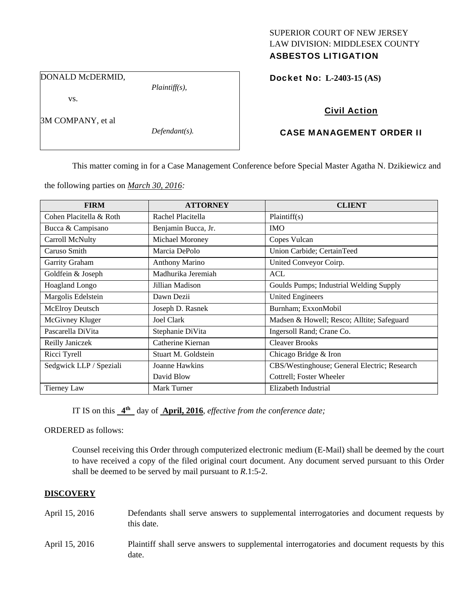# SUPERIOR COURT OF NEW JERSEY LAW DIVISION: MIDDLESEX COUNTY

## ASBESTOS LITIGATION

DONALD McDERMID,

vs.

3M COMPANY, et al

*Defendant(s).* 

*Plaintiff(s),* 

## Docket No: **L-2403-15 (AS)**

## Civil Action

## CASE MANAGEMENT ORDER II

This matter coming in for a Case Management Conference before Special Master Agatha N. Dzikiewicz and

the following parties on *March 30, 2016:* 

| <b>FIRM</b>             | <b>ATTORNEY</b>       | <b>CLIENT</b>                                |  |
|-------------------------|-----------------------|----------------------------------------------|--|
| Cohen Placitella & Roth | Rachel Placitella     | Plaintiff(s)                                 |  |
| Bucca & Campisano       | Benjamin Bucca, Jr.   | <b>IMO</b>                                   |  |
| Carroll McNulty         | Michael Moroney       | Copes Vulcan                                 |  |
| Caruso Smith            | Marcia DePolo         | Union Carbide; CertainTeed                   |  |
| Garrity Graham          | <b>Anthony Marino</b> | United Conveyor Coirp.                       |  |
| Goldfein & Joseph       | Madhurika Jeremiah    | <b>ACL</b>                                   |  |
| <b>Hoagland Longo</b>   | Jillian Madison       | Goulds Pumps; Industrial Welding Supply      |  |
| Margolis Edelstein      | Dawn Dezii            | <b>United Engineers</b>                      |  |
| <b>McElroy Deutsch</b>  | Joseph D. Rasnek      | Burnham; ExxonMobil                          |  |
| McGivney Kluger         | Joel Clark            | Madsen & Howell; Resco; Alltite; Safeguard   |  |
| Pascarella DiVita       | Stephanie DiVita      | Ingersoll Rand; Crane Co.                    |  |
| Reilly Janiczek         | Catherine Kiernan     | <b>Cleaver Brooks</b>                        |  |
| Ricci Tyrell            | Stuart M. Goldstein   | Chicago Bridge & Iron                        |  |
| Sedgwick LLP / Speziali | Joanne Hawkins        | CBS/Westinghouse; General Electric; Research |  |
|                         | David Blow            | Cottrell; Foster Wheeler                     |  |
| Tierney Law             | Mark Turner           | Elizabeth Industrial                         |  |

IT IS on this **4th** day of **April, 2016**, *effective from the conference date;*

ORDERED as follows:

Counsel receiving this Order through computerized electronic medium (E-Mail) shall be deemed by the court to have received a copy of the filed original court document. Any document served pursuant to this Order shall be deemed to be served by mail pursuant to *R*.1:5-2.

## **DISCOVERY**

- April 15, 2016 Defendants shall serve answers to supplemental interrogatories and document requests by this date.
- April 15, 2016 Plaintiff shall serve answers to supplemental interrogatories and document requests by this date.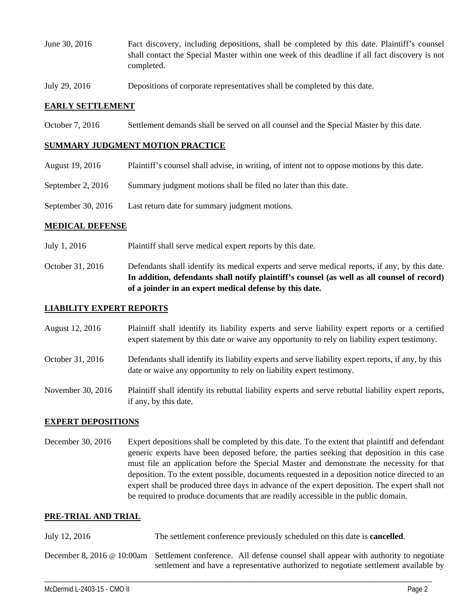- June 30, 2016 Fact discovery, including depositions, shall be completed by this date. Plaintiff's counsel shall contact the Special Master within one week of this deadline if all fact discovery is not completed.
- July 29, 2016 Depositions of corporate representatives shall be completed by this date.

#### **EARLY SETTLEMENT**

October 7, 2016 Settlement demands shall be served on all counsel and the Special Master by this date.

#### **SUMMARY JUDGMENT MOTION PRACTICE**

- August 19, 2016 Plaintiff's counsel shall advise, in writing, of intent not to oppose motions by this date.
- September 2, 2016 Summary judgment motions shall be filed no later than this date.
- September 30, 2016 Last return date for summary judgment motions.

#### **MEDICAL DEFENSE**

- July 1, 2016 Plaintiff shall serve medical expert reports by this date.
- October 31, 2016 Defendants shall identify its medical experts and serve medical reports, if any, by this date. **In addition, defendants shall notify plaintiff's counsel (as well as all counsel of record) of a joinder in an expert medical defense by this date.**

#### **LIABILITY EXPERT REPORTS**

- August 12, 2016 Plaintiff shall identify its liability experts and serve liability expert reports or a certified expert statement by this date or waive any opportunity to rely on liability expert testimony.
- October 31, 2016 Defendants shall identify its liability experts and serve liability expert reports, if any, by this date or waive any opportunity to rely on liability expert testimony.
- November 30, 2016 Plaintiff shall identify its rebuttal liability experts and serve rebuttal liability expert reports, if any, by this date.

#### **EXPERT DEPOSITIONS**

December 30, 2016 Expert depositions shall be completed by this date. To the extent that plaintiff and defendant generic experts have been deposed before, the parties seeking that deposition in this case must file an application before the Special Master and demonstrate the necessity for that deposition. To the extent possible, documents requested in a deposition notice directed to an expert shall be produced three days in advance of the expert deposition. The expert shall not be required to produce documents that are readily accessible in the public domain.

#### **PRE-TRIAL AND TRIAL**

| July 12, 2016 | The settlement conference previously scheduled on this date is <b>cancelled</b> . |  |  |
|---------------|-----------------------------------------------------------------------------------|--|--|
|---------------|-----------------------------------------------------------------------------------|--|--|

December 8, 2016 @ 10:00am Settlement conference. All defense counsel shall appear with authority to negotiate settlement and have a representative authorized to negotiate settlement available by

\_\_\_\_\_\_\_\_\_\_\_\_\_\_\_\_\_\_\_\_\_\_\_\_\_\_\_\_\_\_\_\_\_\_\_\_\_\_\_\_\_\_\_\_\_\_\_\_\_\_\_\_\_\_\_\_\_\_\_\_\_\_\_\_\_\_\_\_\_\_\_\_\_\_\_\_\_\_\_\_\_\_\_\_\_\_\_\_\_\_\_\_\_\_\_\_\_\_\_\_\_\_\_\_\_\_\_\_\_\_